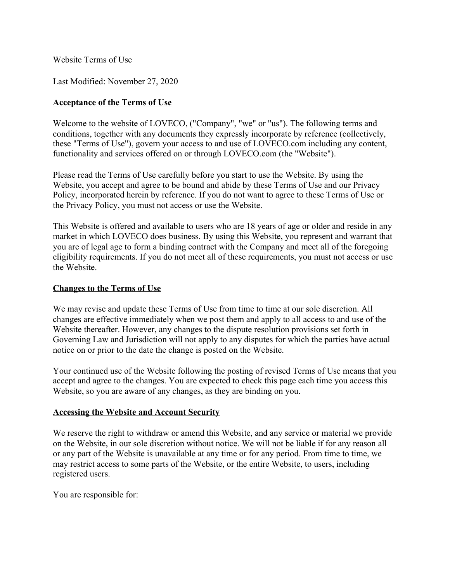Website Terms of Use

Last Modified: November 27, 2020

### **Acceptance of the Terms of Use**

Welcome to the website of LOVECO, ("Company", "we" or "us"). The following terms and conditions, together with any documents they expressly incorporate by reference (collectively, these "Terms of Use"), govern your access to and use of LOVECO.com including any content, functionality and services offered on or through LOVECO.com (the "Website").

Please read the Terms of Use carefully before you start to use the Website. By using the Website, you accept and agree to be bound and abide by these Terms of Use and our Privacy Policy, incorporated herein by reference. If you do not want to agree to these Terms of Use or the Privacy Policy, you must not access or use the Website.

This Website is offered and available to users who are 18 years of age or older and reside in any market in which LOVECO does business. By using this Website, you represent and warrant that you are of legal age to form a binding contract with the Company and meet all of the foregoing eligibility requirements. If you do not meet all of these requirements, you must not access or use the Website.

### **Changes to the Terms of Use**

We may revise and update these Terms of Use from time to time at our sole discretion. All changes are effective immediately when we post them and apply to all access to and use of the Website thereafter. However, any changes to the dispute resolution provisions set forth in Governing Law and Jurisdiction will not apply to any disputes for which the parties have actual notice on or prior to the date the change is posted on the Website.

Your continued use of the Website following the posting of revised Terms of Use means that you accept and agree to the changes. You are expected to check this page each time you access this Website, so you are aware of any changes, as they are binding on you.

### **Accessing the Website and Account Security**

We reserve the right to withdraw or amend this Website, and any service or material we provide on the Website, in our sole discretion without notice. We will not be liable if for any reason all or any part of the Website is unavailable at any time or for any period. From time to time, we may restrict access to some parts of the Website, or the entire Website, to users, including registered users.

You are responsible for: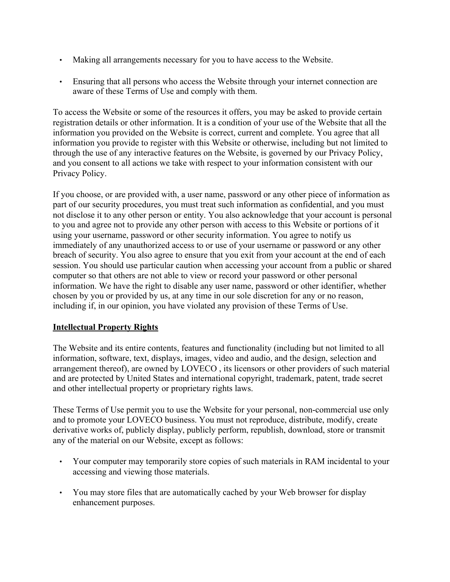- Making all arrangements necessary for you to have access to the Website.
- Ensuring that all persons who access the Website through your internet connection are aware of these Terms of Use and comply with them.

To access the Website or some of the resources it offers, you may be asked to provide certain registration details or other information. It is a condition of your use of the Website that all the information you provided on the Website is correct, current and complete. You agree that all information you provide to register with this Website or otherwise, including but not limited to through the use of any interactive features on the Website, is governed by our Privacy Policy, and you consent to all actions we take with respect to your information consistent with our Privacy Policy.

If you choose, or are provided with, a user name, password or any other piece of information as part of our security procedures, you must treat such information as confidential, and you must not disclose it to any other person or entity. You also acknowledge that your account is personal to you and agree not to provide any other person with access to this Website or portions of it using your username, password or other security information. You agree to notify us immediately of any unauthorized access to or use of your username or password or any other breach of security. You also agree to ensure that you exit from your account at the end of each session. You should use particular caution when accessing your account from a public or shared computer so that others are not able to view or record your password or other personal information. We have the right to disable any user name, password or other identifier, whether chosen by you or provided by us, at any time in our sole discretion for any or no reason, including if, in our opinion, you have violated any provision of these Terms of Use.

# **Intellectual Property Rights**

The Website and its entire contents, features and functionality (including but not limited to all information, software, text, displays, images, video and audio, and the design, selection and arrangement thereof), are owned by LOVECO , its licensors or other providers of such material and are protected by United States and international copyright, trademark, patent, trade secret and other intellectual property or proprietary rights laws.

These Terms of Use permit you to use the Website for your personal, non-commercial use only and to promote your LOVECO business. You must not reproduce, distribute, modify, create derivative works of, publicly display, publicly perform, republish, download, store or transmit any of the material on our Website, except as follows:

- Your computer may temporarily store copies of such materials in RAM incidental to your accessing and viewing those materials.
- You may store files that are automatically cached by your Web browser for display enhancement purposes.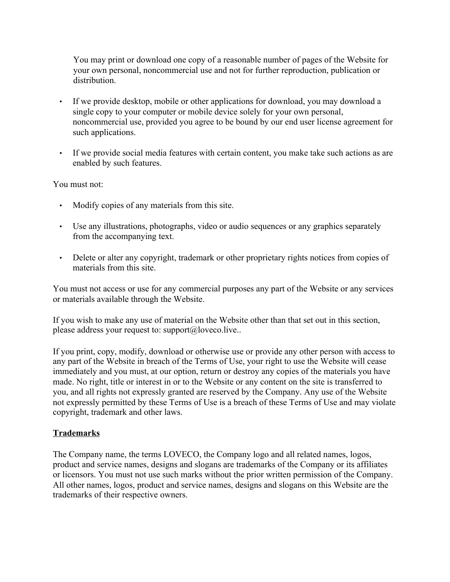You may print or download one copy of a reasonable number of pages of the Website for your own personal, noncommercial use and not for further reproduction, publication or distribution.

- If we provide desktop, mobile or other applications for download, you may download a single copy to your computer or mobile device solely for your own personal, noncommercial use, provided you agree to be bound by our end user license agreement for such applications.
- If we provide social media features with certain content, you make take such actions as are enabled by such features.

You must not:

- Modify copies of any materials from this site.
- Use any illustrations, photographs, video or audio sequences or any graphics separately from the accompanying text.
- Delete or alter any copyright, trademark or other proprietary rights notices from copies of materials from this site.

You must not access or use for any commercial purposes any part of the Website or any services or materials available through the Website.

If you wish to make any use of material on the Website other than that set out in this section, please address your request to: support@loveco.live..

If you print, copy, modify, download or otherwise use or provide any other person with access to any part of the Website in breach of the Terms of Use, your right to use the Website will cease immediately and you must, at our option, return or destroy any copies of the materials you have made. No right, title or interest in or to the Website or any content on the site is transferred to you, and all rights not expressly granted are reserved by the Company. Any use of the Website not expressly permitted by these Terms of Use is a breach of these Terms of Use and may violate copyright, trademark and other laws.

### **Trademarks**

The Company name, the terms LOVECO, the Company logo and all related names, logos, product and service names, designs and slogans are trademarks of the Company or its affiliates or licensors. You must not use such marks without the prior written permission of the Company. All other names, logos, product and service names, designs and slogans on this Website are the trademarks of their respective owners.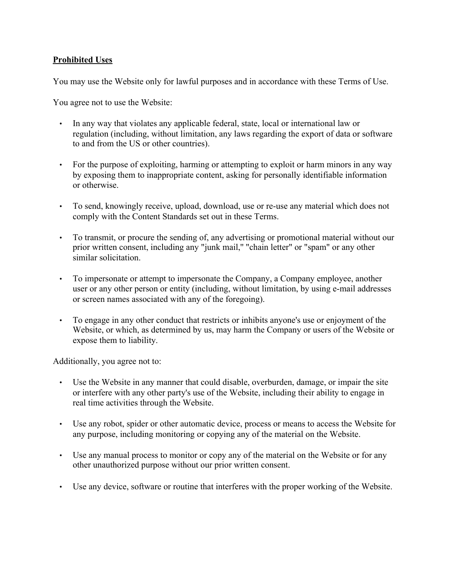## **Prohibited Uses**

You may use the Website only for lawful purposes and in accordance with these Terms of Use.

You agree not to use the Website:

- In any way that violates any applicable federal, state, local or international law or regulation (including, without limitation, any laws regarding the export of data or software to and from the US or other countries).
- For the purpose of exploiting, harming or attempting to exploit or harm minors in any way by exposing them to inappropriate content, asking for personally identifiable information or otherwise.
- To send, knowingly receive, upload, download, use or re-use any material which does not comply with the Content Standards set out in these Terms.
- To transmit, or procure the sending of, any advertising or promotional material without our prior written consent, including any "junk mail,'' "chain letter" or "spam" or any other similar solicitation.
- To impersonate or attempt to impersonate the Company, a Company employee, another user or any other person or entity (including, without limitation, by using e-mail addresses or screen names associated with any of the foregoing).
- To engage in any other conduct that restricts or inhibits anyone's use or enjoyment of the Website, or which, as determined by us, may harm the Company or users of the Website or expose them to liability.

Additionally, you agree not to:

- Use the Website in any manner that could disable, overburden, damage, or impair the site or interfere with any other party's use of the Website, including their ability to engage in real time activities through the Website.
- Use any robot, spider or other automatic device, process or means to access the Website for any purpose, including monitoring or copying any of the material on the Website.
- Use any manual process to monitor or copy any of the material on the Website or for any other unauthorized purpose without our prior written consent.
- Use any device, software or routine that interferes with the proper working of the Website.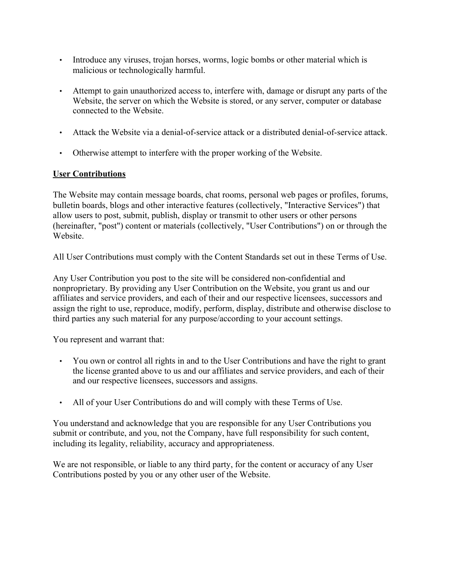- Introduce any viruses, trojan horses, worms, logic bombs or other material which is malicious or technologically harmful.
- Attempt to gain unauthorized access to, interfere with, damage or disrupt any parts of the Website, the server on which the Website is stored, or any server, computer or database connected to the Website.
- Attack the Website via a denial-of-service attack or a distributed denial-of-service attack.
- Otherwise attempt to interfere with the proper working of the Website.

## **User Contributions**

The Website may contain message boards, chat rooms, personal web pages or profiles, forums, bulletin boards, blogs and other interactive features (collectively, "Interactive Services") that allow users to post, submit, publish, display or transmit to other users or other persons (hereinafter, "post") content or materials (collectively, "User Contributions") on or through the **Website** 

All User Contributions must comply with the Content Standards set out in these Terms of Use.

Any User Contribution you post to the site will be considered non-confidential and nonproprietary. By providing any User Contribution on the Website, you grant us and our affiliates and service providers, and each of their and our respective licensees, successors and assign the right to use, reproduce, modify, perform, display, distribute and otherwise disclose to third parties any such material for any purpose/according to your account settings.

You represent and warrant that:

- You own or control all rights in and to the User Contributions and have the right to grant the license granted above to us and our affiliates and service providers, and each of their and our respective licensees, successors and assigns.
- All of your User Contributions do and will comply with these Terms of Use.

You understand and acknowledge that you are responsible for any User Contributions you submit or contribute, and you, not the Company, have full responsibility for such content, including its legality, reliability, accuracy and appropriateness.

We are not responsible, or liable to any third party, for the content or accuracy of any User Contributions posted by you or any other user of the Website.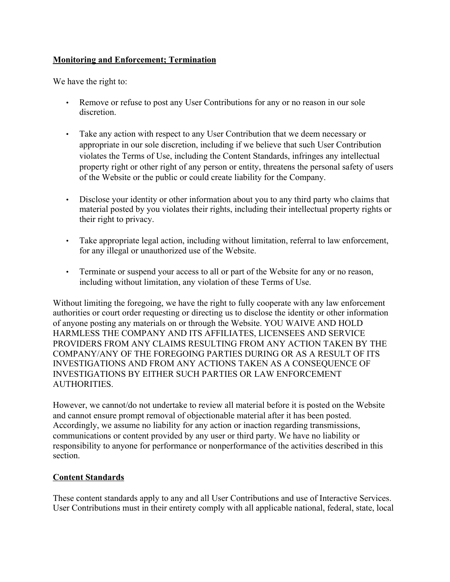## **Monitoring and Enforcement; Termination**

We have the right to:

- Remove or refuse to post any User Contributions for any or no reason in our sole discretion.
- Take any action with respect to any User Contribution that we deem necessary or appropriate in our sole discretion, including if we believe that such User Contribution violates the Terms of Use, including the Content Standards, infringes any intellectual property right or other right of any person or entity, threatens the personal safety of users of the Website or the public or could create liability for the Company.
- Disclose your identity or other information about you to any third party who claims that material posted by you violates their rights, including their intellectual property rights or their right to privacy.
- Take appropriate legal action, including without limitation, referral to law enforcement, for any illegal or unauthorized use of the Website.
- Terminate or suspend your access to all or part of the Website for any or no reason, including without limitation, any violation of these Terms of Use.

Without limiting the foregoing, we have the right to fully cooperate with any law enforcement authorities or court order requesting or directing us to disclose the identity or other information of anyone posting any materials on or through the Website. YOU WAIVE AND HOLD HARMLESS THE COMPANY AND ITS AFFILIATES, LICENSEES AND SERVICE PROVIDERS FROM ANY CLAIMS RESULTING FROM ANY ACTION TAKEN BY THE COMPANY/ANY OF THE FOREGOING PARTIES DURING OR AS A RESULT OF ITS INVESTIGATIONS AND FROM ANY ACTIONS TAKEN AS A CONSEQUENCE OF INVESTIGATIONS BY EITHER SUCH PARTIES OR LAW ENFORCEMENT AUTHORITIES.

However, we cannot/do not undertake to review all material before it is posted on the Website and cannot ensure prompt removal of objectionable material after it has been posted. Accordingly, we assume no liability for any action or inaction regarding transmissions, communications or content provided by any user or third party. We have no liability or responsibility to anyone for performance or nonperformance of the activities described in this section.

## **Content Standards**

These content standards apply to any and all User Contributions and use of Interactive Services. User Contributions must in their entirety comply with all applicable national, federal, state, local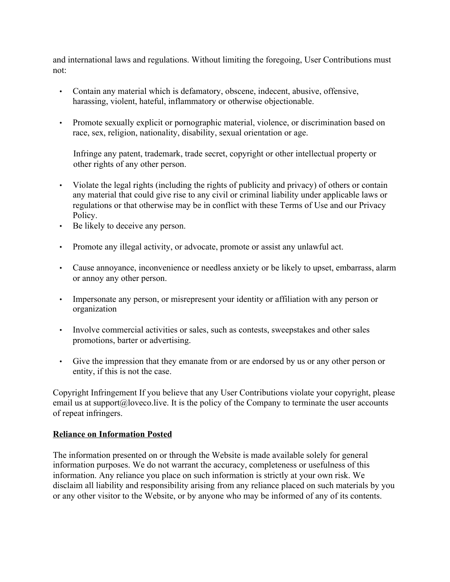and international laws and regulations. Without limiting the foregoing, User Contributions must not:

- Contain any material which is defamatory, obscene, indecent, abusive, offensive, harassing, violent, hateful, inflammatory or otherwise objectionable.
- Promote sexually explicit or pornographic material, violence, or discrimination based on race, sex, religion, nationality, disability, sexual orientation or age.

Infringe any patent, trademark, trade secret, copyright or other intellectual property or other rights of any other person.

- Violate the legal rights (including the rights of publicity and privacy) of others or contain any material that could give rise to any civil or criminal liability under applicable laws or regulations or that otherwise may be in conflict with these Terms of Use and our Privacy Policy.
- Be likely to deceive any person.
- Promote any illegal activity, or advocate, promote or assist any unlawful act.
- Cause annoyance, inconvenience or needless anxiety or be likely to upset, embarrass, alarm or annoy any other person.
- Impersonate any person, or misrepresent your identity or affiliation with any person or organization
- Involve commercial activities or sales, such as contests, sweepstakes and other sales promotions, barter or advertising.
- Give the impression that they emanate from or are endorsed by us or any other person or entity, if this is not the case.

Copyright Infringement If you believe that any User Contributions violate your copyright, please email us at support $(a)$ loveco.live. It is the policy of the Company to terminate the user accounts of repeat infringers.

### **Reliance on Information Posted**

The information presented on or through the Website is made available solely for general information purposes. We do not warrant the accuracy, completeness or usefulness of this information. Any reliance you place on such information is strictly at your own risk. We disclaim all liability and responsibility arising from any reliance placed on such materials by you or any other visitor to the Website, or by anyone who may be informed of any of its contents.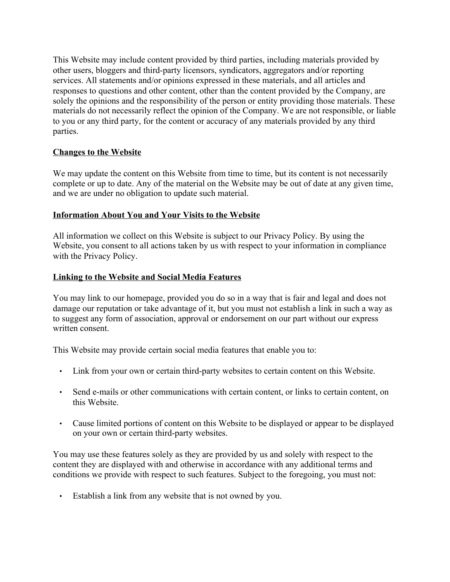This Website may include content provided by third parties, including materials provided by other users, bloggers and third-party licensors, syndicators, aggregators and/or reporting services. All statements and/or opinions expressed in these materials, and all articles and responses to questions and other content, other than the content provided by the Company, are solely the opinions and the responsibility of the person or entity providing those materials. These materials do not necessarily reflect the opinion of the Company. We are not responsible, or liable to you or any third party, for the content or accuracy of any materials provided by any third parties.

### **Changes to the Website**

We may update the content on this Website from time to time, but its content is not necessarily complete or up to date. Any of the material on the Website may be out of date at any given time, and we are under no obligation to update such material.

### **Information About You and Your Visits to the Website**

All information we collect on this Website is subject to our Privacy Policy. By using the Website, you consent to all actions taken by us with respect to your information in compliance with the Privacy Policy.

### **Linking to the Website and Social Media Features**

You may link to our homepage, provided you do so in a way that is fair and legal and does not damage our reputation or take advantage of it, but you must not establish a link in such a way as to suggest any form of association, approval or endorsement on our part without our express written consent.

This Website may provide certain social media features that enable you to:

- Link from your own or certain third-party websites to certain content on this Website.
- Send e-mails or other communications with certain content, or links to certain content, on this Website.
- Cause limited portions of content on this Website to be displayed or appear to be displayed on your own or certain third-party websites.

You may use these features solely as they are provided by us and solely with respect to the content they are displayed with and otherwise in accordance with any additional terms and conditions we provide with respect to such features. Subject to the foregoing, you must not:

Establish a link from any website that is not owned by you.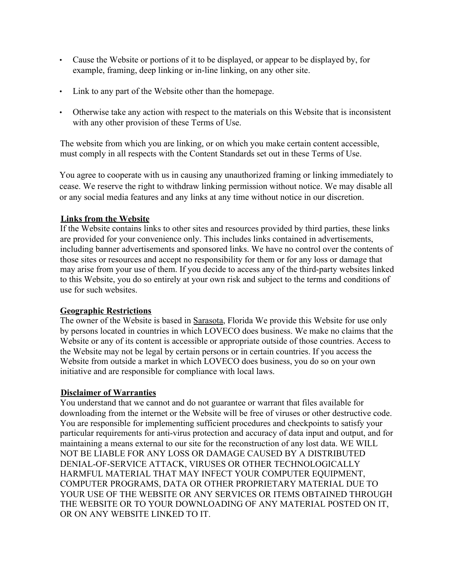- Cause the Website or portions of it to be displayed, or appear to be displayed by, for example, framing, deep linking or in-line linking, on any other site.
- Link to any part of the Website other than the homepage.
- Otherwise take any action with respect to the materials on this Website that is inconsistent with any other provision of these Terms of Use.

The website from which you are linking, or on which you make certain content accessible, must comply in all respects with the Content Standards set out in these Terms of Use.

You agree to cooperate with us in causing any unauthorized framing or linking immediately to cease. We reserve the right to withdraw linking permission without notice. We may disable all or any social media features and any links at any time without notice in our discretion.

### **Links from the Website**

If the Website contains links to other sites and resources provided by third parties, these links are provided for your convenience only. This includes links contained in advertisements, including banner advertisements and sponsored links. We have no control over the contents of those sites or resources and accept no responsibility for them or for any loss or damage that may arise from your use of them. If you decide to access any of the third-party websites linked to this Website, you do so entirely at your own risk and subject to the terms and conditions of use for such websites.

### **Geographic Restrictions**

The owner of the Website is based in Sarasota, Florida We provide this Website for use only by persons located in countries in which LOVECO does business. We make no claims that the Website or any of its content is accessible or appropriate outside of those countries. Access to the Website may not be legal by certain persons or in certain countries. If you access the Website from outside a market in which LOVECO does business, you do so on your own initiative and are responsible for compliance with local laws.

### **Disclaimer of Warranties**

You understand that we cannot and do not guarantee or warrant that files available for downloading from the internet or the Website will be free of viruses or other destructive code. You are responsible for implementing sufficient procedures and checkpoints to satisfy your particular requirements for anti-virus protection and accuracy of data input and output, and for maintaining a means external to our site for the reconstruction of any lost data. WE WILL NOT BE LIABLE FOR ANY LOSS OR DAMAGE CAUSED BY A DISTRIBUTED DENIAL-OF-SERVICE ATTACK, VIRUSES OR OTHER TECHNOLOGICALLY HARMFUL MATERIAL THAT MAY INFECT YOUR COMPUTER EQUIPMENT, COMPUTER PROGRAMS, DATA OR OTHER PROPRIETARY MATERIAL DUE TO YOUR USE OF THE WEBSITE OR ANY SERVICES OR ITEMS OBTAINED THROUGH THE WEBSITE OR TO YOUR DOWNLOADING OF ANY MATERIAL POSTED ON IT, OR ON ANY WEBSITE LINKED TO IT.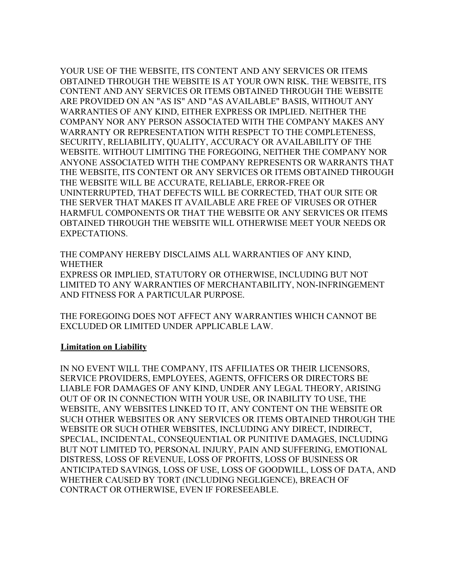YOUR USE OF THE WEBSITE, ITS CONTENT AND ANY SERVICES OR ITEMS OBTAINED THROUGH THE WEBSITE IS AT YOUR OWN RISK. THE WEBSITE, ITS CONTENT AND ANY SERVICES OR ITEMS OBTAINED THROUGH THE WEBSITE ARE PROVIDED ON AN "AS IS" AND "AS AVAILABLE" BASIS, WITHOUT ANY WARRANTIES OF ANY KIND, EITHER EXPRESS OR IMPLIED. NEITHER THE COMPANY NOR ANY PERSON ASSOCIATED WITH THE COMPANY MAKES ANY WARRANTY OR REPRESENTATION WITH RESPECT TO THE COMPLETENESS, SECURITY, RELIABILITY, QUALITY, ACCURACY OR AVAILABILITY OF THE WEBSITE. WITHOUT LIMITING THE FOREGOING, NEITHER THE COMPANY NOR ANYONE ASSOCIATED WITH THE COMPANY REPRESENTS OR WARRANTS THAT THE WEBSITE, ITS CONTENT OR ANY SERVICES OR ITEMS OBTAINED THROUGH THE WEBSITE WILL BE ACCURATE, RELIABLE, ERROR-FREE OR UNINTERRUPTED, THAT DEFECTS WILL BE CORRECTED, THAT OUR SITE OR THE SERVER THAT MAKES IT AVAILABLE ARE FREE OF VIRUSES OR OTHER HARMFUL COMPONENTS OR THAT THE WEBSITE OR ANY SERVICES OR ITEMS OBTAINED THROUGH THE WEBSITE WILL OTHERWISE MEET YOUR NEEDS OR EXPECTATIONS.

THE COMPANY HEREBY DISCLAIMS ALL WARRANTIES OF ANY KIND, WHETHER

EXPRESS OR IMPLIED, STATUTORY OR OTHERWISE, INCLUDING BUT NOT LIMITED TO ANY WARRANTIES OF MERCHANTABILITY, NON-INFRINGEMENT AND FITNESS FOR A PARTICULAR PURPOSE.

THE FOREGOING DOES NOT AFFECT ANY WARRANTIES WHICH CANNOT BE EXCLUDED OR LIMITED UNDER APPLICABLE LAW.

### **Limitation on Liability**

IN NO EVENT WILL THE COMPANY, ITS AFFILIATES OR THEIR LICENSORS, SERVICE PROVIDERS, EMPLOYEES, AGENTS, OFFICERS OR DIRECTORS BE LIABLE FOR DAMAGES OF ANY KIND, UNDER ANY LEGAL THEORY, ARISING OUT OF OR IN CONNECTION WITH YOUR USE, OR INABILITY TO USE, THE WEBSITE, ANY WEBSITES LINKED TO IT, ANY CONTENT ON THE WEBSITE OR SUCH OTHER WEBSITES OR ANY SERVICES OR ITEMS OBTAINED THROUGH THE WEBSITE OR SUCH OTHER WEBSITES, INCLUDING ANY DIRECT, INDIRECT, SPECIAL, INCIDENTAL, CONSEQUENTIAL OR PUNITIVE DAMAGES, INCLUDING BUT NOT LIMITED TO, PERSONAL INJURY, PAIN AND SUFFERING, EMOTIONAL DISTRESS, LOSS OF REVENUE, LOSS OF PROFITS, LOSS OF BUSINESS OR ANTICIPATED SAVINGS, LOSS OF USE, LOSS OF GOODWILL, LOSS OF DATA, AND WHETHER CAUSED BY TORT (INCLUDING NEGLIGENCE), BREACH OF CONTRACT OR OTHERWISE, EVEN IF FORESEEABLE.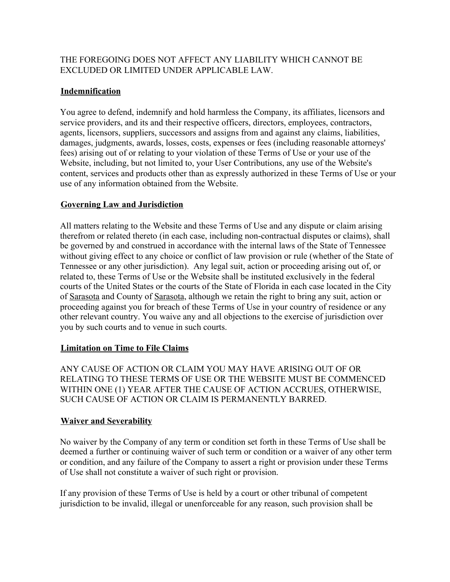## THE FOREGOING DOES NOT AFFECT ANY LIABILITY WHICH CANNOT BE EXCLUDED OR LIMITED UNDER APPLICABLE LAW.

## **Indemnification**

You agree to defend, indemnify and hold harmless the Company, its affiliates, licensors and service providers, and its and their respective officers, directors, employees, contractors, agents, licensors, suppliers, successors and assigns from and against any claims, liabilities, damages, judgments, awards, losses, costs, expenses or fees (including reasonable attorneys' fees) arising out of or relating to your violation of these Terms of Use or your use of the Website, including, but not limited to, your User Contributions, any use of the Website's content, services and products other than as expressly authorized in these Terms of Use or your use of any information obtained from the Website.

### **Governing Law and Jurisdiction**

All matters relating to the Website and these Terms of Use and any dispute or claim arising therefrom or related thereto (in each case, including non-contractual disputes or claims), shall be governed by and construed in accordance with the internal laws of the State of Tennessee without giving effect to any choice or conflict of law provision or rule (whether of the State of Tennessee or any other jurisdiction). Any legal suit, action or proceeding arising out of, or related to, these Terms of Use or the Website shall be instituted exclusively in the federal courts of the United States or the courts of the State of Florida in each case located in the City of Sarasota and County of Sarasota, although we retain the right to bring any suit, action or proceeding against you for breach of these Terms of Use in your country of residence or any other relevant country. You waive any and all objections to the exercise of jurisdiction over you by such courts and to venue in such courts.

### **Limitation on Time to File Claims**

ANY CAUSE OF ACTION OR CLAIM YOU MAY HAVE ARISING OUT OF OR RELATING TO THESE TERMS OF USE OR THE WEBSITE MUST BE COMMENCED WITHIN ONE (1) YEAR AFTER THE CAUSE OF ACTION ACCRUES, OTHERWISE, SUCH CAUSE OF ACTION OR CLAIM IS PERMANENTLY BARRED.

### **Waiver and Severability**

No waiver by the Company of any term or condition set forth in these Terms of Use shall be deemed a further or continuing waiver of such term or condition or a waiver of any other term or condition, and any failure of the Company to assert a right or provision under these Terms of Use shall not constitute a waiver of such right or provision.

If any provision of these Terms of Use is held by a court or other tribunal of competent jurisdiction to be invalid, illegal or unenforceable for any reason, such provision shall be